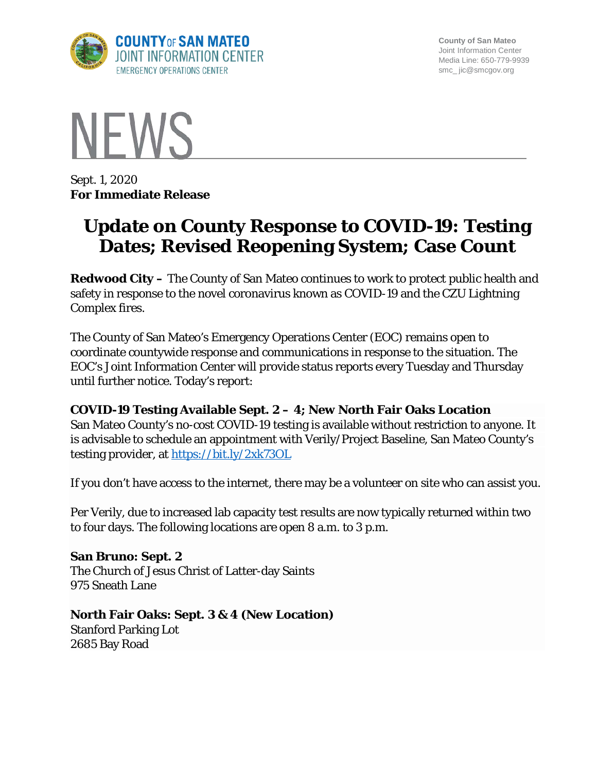

**County of San Mateo** Joint Information Center Media Line: 650-779-9939 smc\_ jic@smcgov.org



Sept. 1, 2020 **For Immediate Release**

# **Update on County Response to COVID-19: Testing Dates; Revised Reopening System; Case Count**

**Redwood City –** The County of San Mateo continues to work to protect public health and safety in response to the novel coronavirus known as COVID-19 and the CZU Lightning Complex fires.

The County of San Mateo's Emergency Operations Center (EOC) remains open to coordinate countywide response and communications in response to the situation. The EOC's Joint Information Center will provide status reports every Tuesday and Thursday until further notice. Today's report:

**COVID-19 Testing Available Sept. 2 – 4; New North Fair Oaks Location** San Mateo County's no-cost COVID-19 testing is available without restriction to anyone. It is advisable to schedule an appointment with Verily/Project Baseline, San Mateo County's testing provider, at https://bit.ly/2xk73OL

If you don't have access to the internet, there may be a volunteer on site who can assist you.

Per Verily, due to increased lab capacity test results are now typically returned within two to four days. The following locations are open 8 a.m. to 3 p.m.

**San Bruno: Sept. 2** The Church of Jesus Christ of Latter-day Saints 975 Sneath Lane

## **North Fair Oaks: Sept. 3 & 4 (New Location)**

Stanford Parking Lot 2685 Bay Road